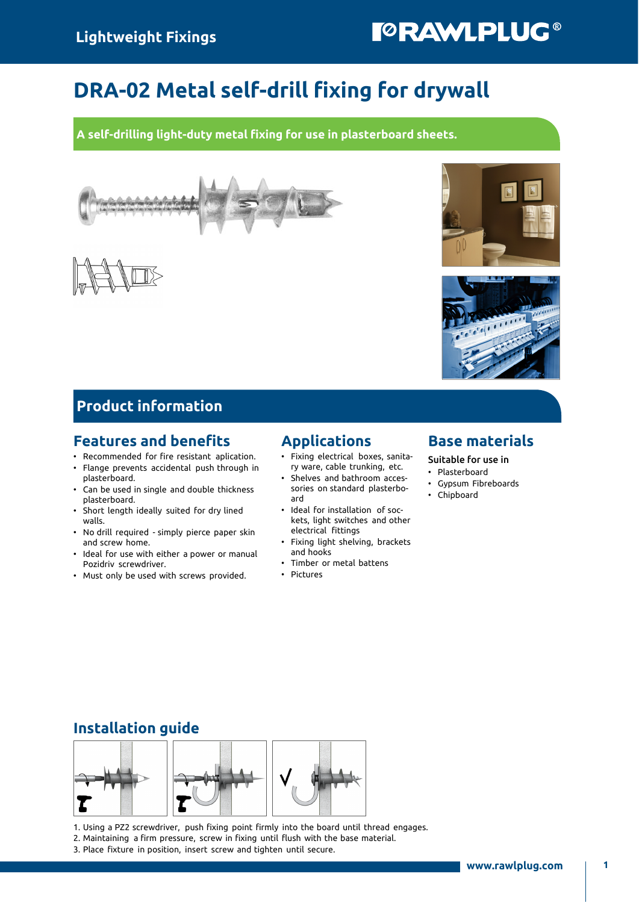# **TORAWLPLUG®**

## DRA-02 Metal self-drill fixing for drywall

A self-drilling light-duty metal fixing for use in plasterboard sheets.







#### Product information

#### Features and benefits

- Recommended for fire resistant aplication.
- Flange prevents accidental push through in
- plasterboard. • Can be used in single and double thickness plasterboard.
- Short length ideally suited for dry lined walls.
- No drill required simply pierce paper skin and screw home.
- Ideal for use with either a power or manual Pozidriv screwdriver.
- Must only be used with screws provided.

#### Applications

- Fixing electrical boxes, sanitary ware, cable trunking, etc.
- Shelves and bathroom accessories on standard plasterboard
- Ideal for installation of sockets, light switches and other electrical fittings
- Fixing light shelving, brackets and hooks
- Timber or metal battens
- Pictures

#### Base materials

Suitable for use in

- Plasterboard
- Gypsum Fibreboards
- Chipboard

#### Installation guide



1. Using a PZ2 screwdriver, push fixing point firmly into the board until thread engages.

2. Maintaining a firm pressure, screw in fixing until flush with the base material.

3. Place fixture in position, insert screw and tighten until secure.